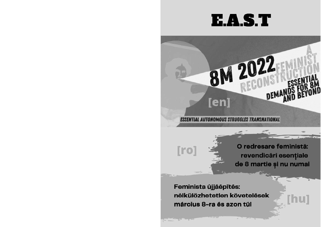# E.A.S.T

**8M 2022** 

**ESSENTIAL AUTONOMOUS STRUGGLES TRANSNATIONAL** 

[en]

 $[ro]$ 

O redresare feministă: revendicări esențiale de 8 martie și nu numai

[hu]

Feminista újjáépítés: nélkülözhetetlen követelések március 8-ra és azon túl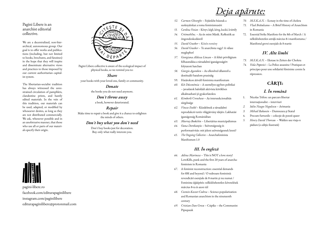Pagini Libere is an anarchist editorial collective.

We are a decentralized, non-hierarchical, autonomous group. Our goal is to offer works and publications (including, but not limited to books, brochures, and fanzines) in the hope that they will inspire and disseminate alternative views and practices to those imposed by our current authoritarian capitalist system.

The libertarian-socialist tradition has always witnessed the unrestrained circulation of pamphlets, clandestine prints, and hastily edited materials. In the vein of this tradition, our materials can be used, adapted, or modified by whosoever desires, as long as they are not distributed commercially. We ask, whenever possible and in an unobtrusive manner, that those who use all or parts of our materials specify their origin.



Pagini Libere collective is aware of the ecological impact of physical books, so we remind you to:

Share your books with your loved one, family or community.

> Donate the books you do not need anymore.

> > Don`t throw away

a book, however deteriorated.

#### Repair

Make time to repair a book and give it a chance to enlighten the minds of others.

#### Don`t buy what you don`t need

Don`t buy books just for decoration. Buy only what really interests you.



pagini-libere.ro facebook.com/editurapaginilibere instagram.com/paginilibere editurapaginilibere@protonmail.com



- 52. Carmen Gheorghe Fejünkbe húzzuk a szoknyáinkat a roma feminizmusért
- 53. Carolina Vozian Könyv, kégli, kéreg, kuckó, kvártély
- 54. CrtimethInc. Az én mint Másik. Reflexiók az öngondoskodásról
- 55. David Graeber Közös remény
- 56. David Graeber Te anarchista vagy? A válasz meglephet!
- 57. Georgiana Aldessa Lincan A fehér privilégium felhasználása a társadalmi igazságosságért folytatott harcban
- 58. Giorgio Agamben Az ellenőrző államtól a destituáló hatalom praxisáig
- 59. Határokon átivelő feminista manifesztum
- 60. Két Düsznómia A személyes egyben politikai – javaslatok baloldali aktivista körökben alkalmazható jó gyakorlatokra
- 61. Kimberlé Crenshaw Az interszekcionalitás sürgőssége
- 62. Vincze Enikő Küzdelmek a társadalmi reprodukció terén világjárvány idején: Lakhatási igazságosság Romániában
- 63. Murray Bookchin Libertárius municipalizmus
- 64. Oana Dorobanțiu Szövetségesség és performativitás: mit jelent szövetségesnek lenni?
- 65. The Ongoing Collective Anarchafeminista Manifesztum 1.0

#### III. În engleză

- 66. Adina Marincea This is NOT a love story! LoveKills, punk and the first 20 years of anarchafeminism in Romania
- 67. A feminist reconstruction: essential demands for 8M and beyond / O redresare feministă: revendicări esențiale de 8 martie și nu numai / Feminista újjáépítés: nélkülözhetetlen követelések március 8-ra és azon túl
- 68. Cosmin Koszor-Codrea Science popularization and Romanian anarchism in the nineteenth century
- 69. Cristian-Dan Grecu Csipike the Communist Pipsqueak
- 70. M.E.K.A.N. Ecstasy in the time of cholera
- 71. Vlad Brătuleanu A Brief History of Anarchism in Romania
- 72. Essential Strike Manifesto for the 8th of March / A nélkülözhetetlen sztrájk március 8-i manifesztuma / Manifestul grevei esențiale de 8 martie

# IV. Alte limbi

- 73. M.E.K.A.N. Ekstase in Zeiten der Cholera
- 74. Veda Popovici La Police assassine ! Pratiques et principes pour une solidarité féministe contre la répression.

# CĂRȚI:

# I. În română

- 1. Nicolas Trifon: un parcurs libertar internaționalist – interviuri
- 2. Iuliu Neagu-Negulescu Arimania
- 3. Mihail Bakunin Dumnezeu și Statul
- 4. Precum furtunile colecție de poezii queer
- 5. Henry David Thoreau Walden sau viața-n pădure (o ediție ilustrată)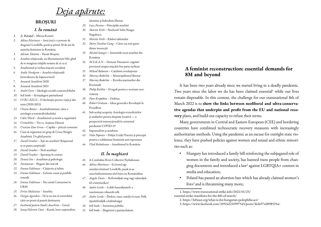# <u>Deja apărute:</u>

#### BROȘURI

#### I. În română

- 1. A. Răvăsel Mircea Rosetti
- 2. Adina Marincea Asta (nu) e o poveste de dragoste! LoveKills, punk şi primii 20 de ani de anarcha-feminism în România
- 3. Adrian Tătăran Panait Musoiu
- 4. Anarhie relațională, nu libertarianism! Mic ghid de re-imaginat relațiile noastre de zi cu zi
- 5. Anarhismul și vechea mișcare socialistă
- 6. Andie Nordgren Anarhia relațională (introducere de hopancarusel)
- 7. Anuarul Anarhivei 2020
- 8. Anuarul Anarhivei 2021
- 9. André Gorz Ideologia socială a automobilului
- 10. bell hooks Să înțelegem patriarhatul
- 11. CCRI/EZLN O declarație pentru viață și alte texte (2020-2021)
- 12. Chiara Bottici Anarhafeminism: către o antologie a transindividualului
- 13. Colin Ward Anarhismul ca teorie a organizării
- 14. CrimethInc Vot vs. Acțiune Directă
- 15. Cristian-Dan Grecu Csipike piticul comunist
- 16. Cum să organizezi un grup de Cruce Neagră Anarhistă. Un ghid practic
- 17. David Graeber Ești un anarhist? Răspunsul te-ar putea surprinde!
- 18. David Graeber Noii anarhiști
- 19. David Graeber Speranța în comun
- 20. Dennis Fox Anarhism și psihologie
- 21. Necunoscut Slogane din mai 68
- 22. Emma Goldman Căsătorie și iubire
- 23. Emma Goldman Gelozia: cauze și posibile remedii
- 24. Emma Goldman Nu există Comunism în URSS
- 25. Errico Malatesta Anarhia
- 26. Giorgio Agamben De la un stat al controlului către un praxis al puterii destituente
- 27. Institutul pentru Studii Anarhiste Genul
- 28. Ionuț-Valentin Cucu Kurzii, între naționalism
- identitar și federalism libertar
- 29. Lucy Parsons Principiile anarhiei
- 30. Martin Veith Neobosit! Iuliu Neagu-Negulescu
- 31. Martin Veith Răsboi răsboiului
- 32. Mary Nardini Gang Către cea mai queer dintre insurecții
- 33. Mechel Stanger Amintirile unui anarhist din România
- 34. M.E.K.A.N. Demoni Dansatori: cugetări provizorii asupra mișcării free party siciliene
- 35. Mihail Bakunin Catehism revolutionar
- 36. Murray Bookchin Municipalismul libertar
- 37. Murray Bookchin Revolta marinarilor din Kronstadt
- 38. Philip Richlin 10 reguli pentru o societate nonviolentă
- 39. Piotr Kropotkin Ordinea
- 40. Robert Graham Ideea generală a Revoluției la Proudhon
- 41. Sub același acoperiș: Antologia revendicărilor și analizelor pentru dreptate locativă — o perspectivă intersecțională în contextul pandemiei COVID-19
- 42. Suprarealism și anarhism
- 43. Veda Popovici Poliția Ucide! Practici și principii pentru o solidaritate feministă anti-represiune
- 44. Vlad Brătuleanu Anarhismul în România

### II. În maghiară

- 45. A Combahee River Collective Nyilatkozata
- 46. Adina Marincea Ez (nem) egy szerelmi történet! LoveKills, punk és az anarchafeminizmus első húsz éve Romániában
- 47. Angela Davis Reformáljuk meg vagy számoljuk fel a börtönöket?
- 48. Audre Lorde A düh használatairól: a rasszizmusra válaszoló nők
- 49. Audre Lorde Életkor, rassz, osztály és nem: Nők újradefiniálják a különbséget
- 50. bell hooks Feminista politika
- 51. bell hooks Megérteni a patriarchátust

# A feminist reconstruction: essential demands for 8M and beyond

It has been two years already since we started living in a deadly pandemic. Two years since the labor we do has been claimed essential<sup>1</sup> while our lives remain disposable. In this context, the challenge for our transnational 8th of March 2022 is to show the links between neoliberal and ultra-conservative agendas that underpin and profit from the EU and national recovery plans, and build our capacity to refuse their terms.

Many governments in Central and Eastern European (CEE) and bordering countries have combined technocratic recovery measures with increasingly authoritarian methods. Using the pandemic as an excuse for outright state violence, they have pushed policies against women and sexual and ethnic minorities such as:

- Hungary has introduced a family bill reinforcing the subjugated role of women in the family and society, has banned trans people from changing documents and introduced a law<sup>2</sup> against LGBTQIA+ content in media and education;
- Poland has passed an abortion ban which has already claimed women's lives<sup>3</sup> and is threatening many more;

1. https://www.transnational-strike.info/2021/01/25/ essential-strike-manifesto-for-the-8th-of-march/

3. https://www.facebook.com/109242210997545/posts/362697428985354/

<sup>2.</sup> https://lefteast.org/what-is-the-hungarian-pedophilia-act/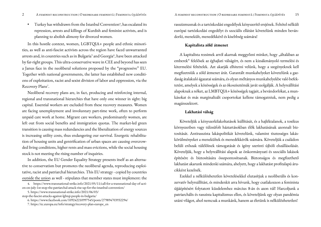• Turkey has withdrawn from the Istanbul Convention $\hat{A}$ , has escalated its repression, arrests and killings of Kurdish and feminist activists, and is planning to abolish alimony for divorced women.

In this hostile context, women, LGBTQIA+ people and ethnic minorities, as well as anti-fascist activists across the region have faced unwarranted arrests and, in countries such as in Bulgaria<sup>s</sup> and Georgia<sup>6</sup>, have been attacked by far-right groups. This ultra-conservative wave in CEE and beyond has seen a Janus face in the neoliberal solutions proposed by the "progressive" EU. Together with national governments, the latter has established new conditions of exploitation, racist and sexist division of labor and oppression, via the Recovery Plans<sup>7</sup>.

Neoliberal recovery plans are, in fact, producing and reinforcing internal, regional and transnational hierarchies that have only one winner in sight: big capital. Essential workers are excluded from these recovery measures. Women are facing unemployment and involuntary part-time work, often to perform unpaid care work at home. Migrant care workers, predominantly women, are left out from social benefits and immigration quotas. The market-led green transition is causing mass redundancies and the liberalization of energy sources is increasing utility costs, thus endangering our survival. Energetic rehabilitation of housing units and gentrification of urban spaces are causing overcrowded living conditions, higher rents and mass evictions, while the social housing stock is not meeting the rising number of inquiries.

In addition, the EU Gender Equality Strategy presents itself as an alternative to conservatism but promotes the neoliberal agenda, reproducing exploitative, racist and patriarchal hierarchies. This EU strategy - copied by countries outside the union as well - stipulates that member states must implement: the rasszizmusnak és a tartózkodási engedélyek kényszerítő erejének. Feltétel nélküli európai tartózkodási engedélyt és szociális ellátást követelünk minden bevándorló, menekült, menedékkérő és kisebbség számára!

#### Kapitalista zöld átmenet

A kapitalista rezsimek arról akarnak meggyőzni minket, hogy "általában az emberek" felelősek az éghajlati válságért, és nem a kizsákmányoló termelési és kitermelési feltételek. Azt akarják elhitetni velünk, hogy a szegényeknek kell megfizetniük a zöld átmenet árát. Garantált munkahelyeket követelünk a gazdaság átalakuló ágazatai számára, és olyan méltányos munkahelyekbe való befektetést, amelyek a közösségek és az ökoszisztémák javát szolgálják. A helyreállítási alapoknak a nőket, az LMBTQIA+ közösségek tagjait, a bevándorlókat, a munkásokat és más marginalizált csoportokat kellene támogatniuk, nem pedig a magánszektort.

#### Lakhatási válság

Követeljük a kényszerkilakoltatások leállítását, és a hajléktalanok, a toxikus környezetben vagy túlzsúfolt háztartásokban élők lakhatásának azonnali biztosítását. Antirasszista lakáspolitikát követelünk, valamint tisztességes lakáskörülményeket a menekültek és menedékkérők számára. Követeljük a családon belüli erőszak túlélőinek támogatását és igény szerinti újbóli elszállásolását. Követeljük, hogy a helyreállítási alapok az önkormányzati és szociális lakások építésére és biztosítására összpontosítsanak. Biztonságos és megfizethető lakhatást akarunk mindenki számára, ahelyett, hogy a lakhatást profitalapú árucikként kezelnék.

Ezekkel a nélkülözhetetlen követelésekkel elutasítjuk a neoliberális és konzervatív helyreállítást, és mindenkit arra hívunk, hogy csatlakozzon a feminista újjáépítésért folytatott küzdelemhez március 8-án és azon túl! Harcoljunk a patriarchális és rasszista kapitalizmus ellen, és követeljünk egy olyan pandémia utáni világot, ahol nemcsak a munkánk, hanem az életünk is nélkülözhetetlen!

<sup>4.</sup> https://www.transnational-strike.info/2021/05/11/call-for-a-transnational-day-of-action-on-july-1st-stop-the-patriarchal-attack-rise-up-for-the-istanbul-convention/

<sup>5.</sup> https://www.transnational-strike.info/2021/06/03/ stop-the-fascist-attacks-against-lgbtqi-people-in-bulgaria/

<sup>6.</sup> https://www.facebook.com/109242210997545/posts/279894703932294/

<sup>7.</sup> https://ec.europa.eu/info/strategy/recovery-plan-europe\_en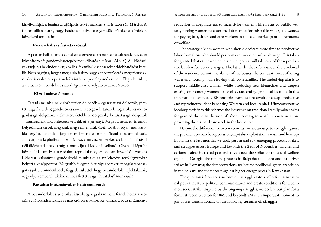kinyilvánítjuk a feminista újjáépítés tervét március 8-ra és azon túl! Március 8. fontos pillanat arra, hogy határokon átívelve egyesítsük erőinket a küzdelem következő területein:

#### Patriarchális és fasiszta erőszak

A patriarchális államok és fasiszta szervezetek számára a nők alárendeltek, és az inkubátorok és gondozók szerepére redukálhatóak, míg az LMBTQIA+ közösségek tagjait, a bevándorlókat, a vallási és etnikai kisebbségeket eldobhatóként kezelik. Nem hagyjuk, hogy a megújuló fasiszta vagy konzervatív erők megerősítsék a nukleáris család és a patriarchális intézmények elnyomó eszméit. Elég a létünket, a szexuális és reproduktív szabadságunkat veszélyeztető támadásokból!

#### Kizsákmányoló munka

Társadalmaink a nélkülözhetetlen dolgozók – egészségügyi dolgozók, (fizetett vagy fizetetlen) gondozók és szociális dolgozók, tanárok, logisztikai és mezőgazdasági dolgozók, élelmiszerüzletekben dolgozók, köztisztasági dolgozók – munkájának köszönhetően vészelik át a járványt. Mégis, a nemzeti és uniós helyreállítási tervek még csak meg sem említik őket, további olyan munkásokkal együtt, akiknek a jogait nem ismerik el, mint például a szexmunkások. Elutasítjuk a kapitalista imperatívuszt, amely az embereket csak addig minősíti nélkülözhetetlennek, amíg a munkájuk kizsákmányolható! Olyan újjáépítést követelünk, amely a társadalmi reprodukciót, az önkormányzati és szociális lakhatást, valamint a gondoskodó munkát és az azt lehetővé tevő ágazatokat helyezi a középpontba. Magasabb és egyenlő európai béreket, mozgásszabadságot és jólétet mindenkinek, függetlenül attól, hogy bevándorlók, hajléktalanok, vagy olyan emberek, akiknek nincs fizetett vagy "hivatalos" munkájuk!

#### Rasszista intézmények és határrendszerek

A bevándorlók és az etnikai kisebbségek gyakran nem férnek hozzá a szociális ellátórendszerekhez és más erőforrásokhoz. Ki vannak téve az intézményi reduction of corporate tax to incentivize women's hires; cuts to public welfare, forcing women to enter the job market for miserable wages; allowances for paying babysitters and care workers in those countries granting remnants of welfare.

The strategy divides women who should dedicate more time to productive labor from those who should perform care work for unlivable wages. It is taken for granted that other women, mainly migrants, will take care of the reproductive burden for poverty wages. The latter do that often under the blackmail of the residence permit, the abuses of the bosses, the constant threat of losing wages and housing, while leaving their own families. The underlying aim is to support middle-class women, while producing new hierarchies and deepen existing ones among women across class, race and geographical location. In this transnational context, CEE countries work as a reservoir of cheap productive and reproductive labor benefiting Western and local capital. Ultraconservative ideology feeds into this scheme: the insistence on traditional family values takes for granted the sexist division of labor according to which women are those providing the essential care work in the household.

Despite the differences between contexts, we see an urge to struggle against the prevalent patriarchal oppression, capitalist exploitation, racism and homophobia. In the last months, we took part in and saw emerging protests, strikes, and struggles across Europe and beyond: the 25th of November marches and actions against increased patriarchal violence; the strikes of the social welfare agents in Georgia; the miners' protests in Bulgaria; the metro and bus driver strikes in Romania; the demonstrations against the neoliberal 'green' transition in the Balkans and the uproars against higher energy prices in Kazakhstan.

The question is how to transform our struggles into a collective transnational power, nurture political communication and create conditions for a common social strike. Inspired by the ongoing struggles, we declare our plan for a feminist reconstruction for 8M and beyond! 8M is an important moment to join forces transnationally on the following terrains of struggle: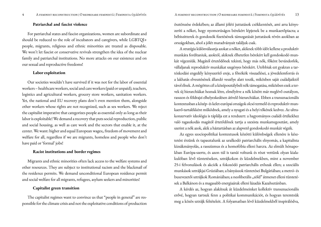#### Patriarchal and fascist violence

For patriarchal states and fascist organizations, women are subordinate and should be reduced to the role of incubators and caregivers, while LGBTQI+ people, migrants, religious and ethnic minorities are treated as disposable. We won't let fascist or conservative revivals strengthen the idea of the nuclear family and patriarchal institutions. No more attacks on our existence and on our sexual and reproductive freedoms!

#### Labor exploitation

Our societies wouldn't have survived if it was not for the labor of essential workers – healthcare workers, social and care workers (paid or unpaid), teachers, logistics and agricultural workers, grocery store workers, sanitation workers. Yet, the national and EU recovery plans don't even mention them, alongside other workers whose rights are not recognized, such as sex workers. We reject the capitalist imperative that categorizes people as essential only as long as their labor is exploitable! We demand a recovery that puts social reproduction, public and social housing, as well as care work and the sectors that enable it, at the center. We want: higher and equal European wages;, freedom of movement and welfare for all, regardless if we are migrants, homeless and people who don't have paid or 'formal' jobs!

#### Racist institutions and border regimes

Migrants and ethnic minorities often lack access to the welfare systems and other resources. They are subject to institutional racism and the blackmail of the residence permits. We demand unconditional European residence permit and social welfare for all migrants, refugees, asylum seekers and minorities!

#### Capitalist green transition

The capitalist regimes want to convince us that "people in general" are responsible for the climate crisis and not the exploitative conditions of production ösztönzése érdekében; az állami jóléti juttatások csökkentését, ami arra kényszeríti a nőket, hogy nyomorúságos bérekért lépjenek be a munkaerőpiacra; a bébiszitterek és gondozók fizetésének támogatását juttatások révén azokban az országokban, ahol a jólét maradványait találjuk csak.

A stratégia különválasztja azokat a nőket, akiknek több időt kellene a produktív munkára fordítaniuk, azoktól, akiknek élhetetlen bérekért kell gondoskodó munkát végezniük. Magától értetődőnek tekinti, hogy más nők, főként bevándorlók, vállaljanak reproduktív munkákat szegényes bérekért. Utóbbiak ezt gyakran a tartózkodási engedély kényszerítő ereje, a főnökök visszaélései, a jövedelemforrás és a lakhatás elvesztésének állandó veszélye alatt teszik, miközben saját családjaiktól távol élnek. A mögöttes cél a középosztálybeli nők támogatása, miközben ezek a tervek új hierarchiákat hoznak létre, elmélyítve a nők között már meglévő osztályon, rasszon és földrajzi elhelyezkedésen átívelő hierarchiákat. Ebben a transznacionális kontextusban a közép- és kelet-európai országok olcsó termelő és reproduktív munkaerő-tartalékként működnek, amely a nyugati és a helyi tőkének kedvez. Az ultrakonzervatív ideológia is táplálja ezt a rendszert: a hagyományos családi értékekhez való ragaszkodás magától értetődőnek tartja a szexista munkamegosztást, amely szerint a nők azok, akik a háztartásban az alapvető gondoskodó munkát végzik.

Az egyes szociopolitikai kontextusok közötti különbségek ellenére is késztetést érzünk és tapasztalunk az uralkodó patriarchális elnyomás, a kapitalista kizsákmányolás, a rasszizmus és a homofóbia elleni harcra. Az elmúlt hónapokban Európa-szerte, és azon túl is tanúi voltunk és részt vettünk olyan kialakulóban lévő tüntetéseken, sztrájkokon és küzdelmekben, mint a november 25-i felvonulások és akciók a fokozódó patriarchális erőszak ellen; a szociális munkások sztrájkjai Grúziában; a bányászok tüntetései Bulgáriában; a metró- és buszvezetői sztrájkok Romániában; a neoliberális "zöld" átmenet elleni tüntetések a Balkánon és a magasabb energiaárak elleni lázadás Kazahsztánban.

A kérdés az, hogyan alakítsuk át küzdelmeinket kollektív transznacionális erővé, hogyan tartsuk fenn a politikai kommunikációt, és hogyan teremtsük meg a közös sztrájk feltételeit. A folyamatban lévő küzdelmekből inspirálódva,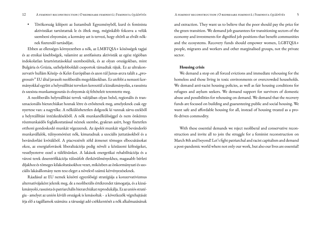• Törökország kilépett az Isztambuli Egyezményből, kurd és feminista aktivistákat tartóztattak le és öltek meg, méginkább fokozva a velük szembeni elnyomást; a kormány azt is tervezi, hogy eltörli az elvált nőknek fizetendő tartásdíjat.

Ebben az ellenséges környezetben a nők, az LMBTQIA+ közösségek tagjai és az etnikai kisebbségek, valamint az antifasiszta aktivisták az egész régióban indokolatlan letartóztatásokkal szembesültek, és az olyan országokban, mint Bulgária és Grúzia, szélsőjobboldali csoportok támadtak rájuk. Ez az ultrakonzervatív hullám Közép- és Kelet-Európában és azon túl Janus-arcra talált a "progresszív" EU által javasolt neoliberális megoldásokban. Ez utóbbi a nemzeti kormányokkal együtt a helyreállítási terveken keresztül a kizsákmányolás, a rasszista és szexista munkamegosztás és elnyomás új feltételeit teremtette meg.

A neoliberális helyreállítási tervek valójában olyan belső, regionális és transznacionális hierarchiákat hoznak létre és erősítenek meg, amelyeknek csak egy nyertese van: a nagytőke. A nélkülözhetetlen dolgozók ki vannak zárva ezekből a helyreállítási intézkedésekből. A nők munkanélküliséggel és nem önkéntes részmunkaidős foglalkoztatással néznek szembe, gyakran azért, hogy fizetetlen otthoni gondoskodó munkát végezzenek. Az ápolói munkát végző bevándorló munkavállalók, túlnyomórészt nők, kimaradnak a szociális juttatásokból és a bevándorlási kvótákból. A piacvezérelt zöld átmenet tömeges elbocsátásokat okoz, az energiaforrások liberalizációja pedig növeli a közüzemi költségeket, veszélyeztetve ezzel a túlélésünket. A lakások energetikai rehabilitációja és a városi terek dzsentrifikációja túlzsúfolt életkörülményekhez, magasabb bérleti díjakhoz és tömeges kilakoltatásokhoz vezet, miközben az önkormányzati és szociális lakásállomány nem tesz eleget a növekvő számú kérvényezéseknek.

Ráadásul az EU nemek közötti egyenlőségi stratégiája a konzervativizmus alternatívájaként jelenik meg, de a neoliberális értékrendet támogatja, és a kizsákmányoló, rasszista és patriarchális hierarchiákat reprodukálja. Ez az uniós stratégia - amelyet az unión kívüli országok is lemásoltak - a következők végrehajtását írja elő a tagállamok számára: a társasági adó csökkentését a nők alkalmazásának and extraction. They want us to believe that the poor should pay the price for the green transition. We demand job guarantees for transitioning sectors of the

economy and investments for dignified job positions that benefit communities and the ecosystems. Recovery funds should empower women, LGBTQIA+ people, migrants and workers and other marginalised groups, not the private sector.

#### Housing crisis

We demand a stop on all forced evictions and immediate rehousing for the homeless and those living in toxic environments or overcrowded households. We demand anti-racist housing policies, as well as fair housing conditions for refugees and asylum seekers. We demand support for survivors of domestic abuse and possibilities for rehousing on demand. We demand that the recovery funds are focused on building and guaranteeing public and social housing. We want safe and affordable housing for all, instead of housing treated as a profit-driven commodity.

With these essential demands we reject neoliberal and conservative reconstruction and invite all to join the struggle for a feminist reconstruction on March 8th and beyond! Let's fight patriarchal and racist capitalism and demand a post-pandemic world where not only our work, but also our lives are essential!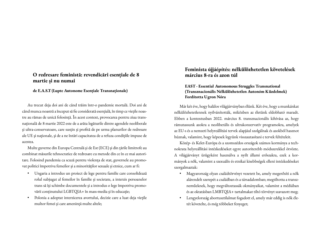# O redresare feministă: revendicări esențiale de 8 martie și nu numai

#### de E.A.S.T (Lupte Autonome Esențiale Transnaționale)

Au trecut deja doi ani de când trăim într-o pandemie mortală. Doi ani de când munca noastră a început să fie considerată esențială, în timp ce viețile noastre au rămas de unică folosință. În acest context, provocarea pentru ziua transnațională de 8 martie 2022 este de a arăta legăturile dintre agendele neoliberale și ultra-conservatoare, care susțin și profită de pe urma planurilor de redresare ale UE și naționale, și de a ne întări capacitatea de a refuza condițiile impuse de acestea.

Multe guverne din Europa Centrală și de Est (ECE) și din țările limitrofe au combinat măsurile tehnocratice de redresare cu metode din ce în ce mai autoritare. Folosind pandemia ca scuză pentru violența de stat, guvernele au promovat politici împotriva femeilor și a minorităților sexuale și etnice, cum ar fi:

- Ungaria a introdus un proiect de lege pentru familie care consolidează rolul subjugat al femeilor în familie și societate, a interzis persoanelor trans să își schimbe documentele și a introdus o lege împotriva promovării conținutului LGBTQIA+ în mass-media și în educație;
- Polonia a adoptat interzicerea avortului, decizie care a luat deja viețile multor femei și care amenință multe altele;

# Feminista újjáépítés: nélkülözhetetlen követelések március 8-ra és azon túl

## EAST - Essential Autonomous Struggles Transnational (Transznacionális Nélkülözhetetlen Autonóm Küzdelmek) Fordította Ugron Nóra

Már két éve, hogy halálos világjárványban élünk. Két éve, hogy a munkánkat nélkülözhetetlennek nyilvánították, miközben az életünk eldobható maradt. Ebben a kontextusban 2022. március 8. transznacionális kihívása az, hogy rámutassunk azokra a neoliberális és ultrakonzervatív programokra, amelyek az EU-s és a nemzeti helyreállítási tervek alapjául szolgálnak és azokból hasznot húznak, valamint, hogy képesek legyünk visszautasítani e tervek feltételeit.

Közép- és Kelet-Európa és a szomszédos országok számos kormánya a technokrata helyreállítási intézkedéseket egyre autoriterebb módszerekkel ötvözte. A világjárványt ürügyként használva a nyílt állami erőszakra, ezek a kormányok a nők, valamint a szexuális és etnikai kisebbségek elleni intézkedéseket szorgalmaztak:

- Magyarország olyan családtörvényt vezetett be, amely megerősíti a nők alárendelt szerepét a családban és a társadalomban; megtiltotta a transzneműeknek, hogy megváltoztassák okmányaikat, valamint a médiában és az oktatásban LMBTQIA+ tartalmakat tiltó törvényt szavazott meg;
- Lengyelország abortusztilalmat fogadott el, amely már eddig is nők életét követelte, és még többeket fenyeget;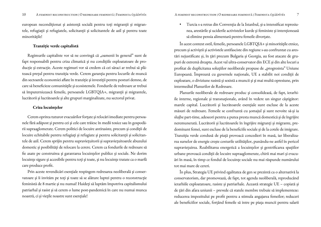european necondiționat și asistență socială pentru toți migranții și migrantele, refugiații și refugiatele, solicitanții și solicitantele de azil și pentru toate minoritățile!

#### Tranziție verde capitalistă

Regimurile capitaliste vor să ne convingă că "oamenii în general" sunt de fapt responsabili pentru criza climatică și nu condițiile exploatatoare de producție și extracție. Aceste regimuri vor să credem că cei săraci ar trebui să plătească prețul pentru tranziția verde. Cerem garanția pentru locurile de muncă din sectoarele economiei aflate în tranziție și investiții pentru posturi demne, de care să beneficieze comunitățile și ecosistemele. Fondurile de redresare ar trebui să împuternicească femeile, persoanele LGBTQIA+, migranții și migrantele, lucrătorii și lucrătoarele și alte grupuri marginalizate, nu sectorul privat.

#### Criza locuințelor

Cerem oprirea tuturor evacuărilor forțate și relocări imediate pentru persoanele fără adăpost și pentru cei și cele care trăiesc în medii toxice sau în gospodării supraaglomerate. Cerem politici de locuire antirasiste, precum și condiții de locuire echitabile pentru refugiați și refugiate și pentru solicitanții și solicitantele de azil. Cerem sprijin pentru supraviețuitorii și supraviețuitoarele abuzului domestic și posibilități de relocare la cerere. Cerem ca fondurile de redresare să fie axate pe construirea și garantarea locuințelor publice și sociale. Ne dorim locuințe sigure și accesibile pentru toți și toate, și nu locuințe tratate ca o marfă care produce profit.

Prin aceste revendicări esențiale respingem redresarea neoliberală și conservatoare și îi invităm pe toți și toate să se alăture luptei pentru o reconstrucție feministă de 8 martie și nu numai! Haideți să luptăm împotriva capitalismului patriarhal și rasist și să cerem o lume post-pandemică în care nu numai munca noastră, ci și viețile noastre sunt esențiale!

• Turcia s-a retras din Convenția de la Istanbul, și-a intensificat represiunea, arestările și uciderile activistelor kurde și feministe și intenționează să elimine pensia alimentară pentru femeile divorțate.

În acest context ostil, femeile, persoanele LGBTQIA+ și minoritățile etnice, precum și activiștii și activistele antifasciste din regiune s-au confruntat cu arestări nejustificate și, în țări precum Bulgaria și Georgia, au fost atacate de grupuri de extremă dreapta. Acest val ultra-conservator din ECE și din alte locuri a profitat de duplicitatea soluțiilor neoliberale propuse de "progresista" Uniune Europeană. Împreună cu guvernele naționale, UE a stabilit noi condiții de exploatare, o diviziune rasistă și sexistă a muncii și și mai multă opresiune, prin intermediul Planurilor de Redresare.

Planurile neoliberale de redresare produc și consolidează, de fapt, ierarhiile interne, regionale și transnaționale, având în vedere un singur câștigător: marele capital. Lucrătorii și lucrătoarele esențiale sunt excluse de la aceste măsuri de redresare. Femeile se confruntă cu șomajul și sunt nevoite să-și ia slujbe part-time, adeseori pentru a putea presta muncă domestică și de îngrijire neremunerată. Lucrătorii și lucrătoarele în îngrijire migranți și migrante, predominant femei, sunt excluse de la beneficiile sociale și de la cotele de imigrare. Tranziția verde condusă de piață provoacă concedieri în masă, iar liberalizarea surselor de energie crește costurile utilităților, punându-ne astfel în pericol supraviețuirea. Reabilitarea energetică a locuințelor și gentrificarea spațiilor urbane provoacă condiții de locuire supraaglomerate, chirii mai mari și evacuări în masă, în timp ce fondul de locuințe sociale nu mai răspunde numărului tot mai mare de cereri.

În plus, Strategia UE privind egalitatea de gen se prezintă ca o alternativă la conservatorism, dar promovează, de fapt, tot agenda neoliberală, reproducând ierarhiile exploatatoare, rasiste și patriarhale. Această strategie UE – copiată și de țări din afara uniunii – prevede că statele membre trebuie să implementeze: reducerea impozitului pe profit pentru a stimula angajarea femeilor; reduceri ale beneficiilor sociale, forțând femeile să intre pe piața muncii pentru salarii